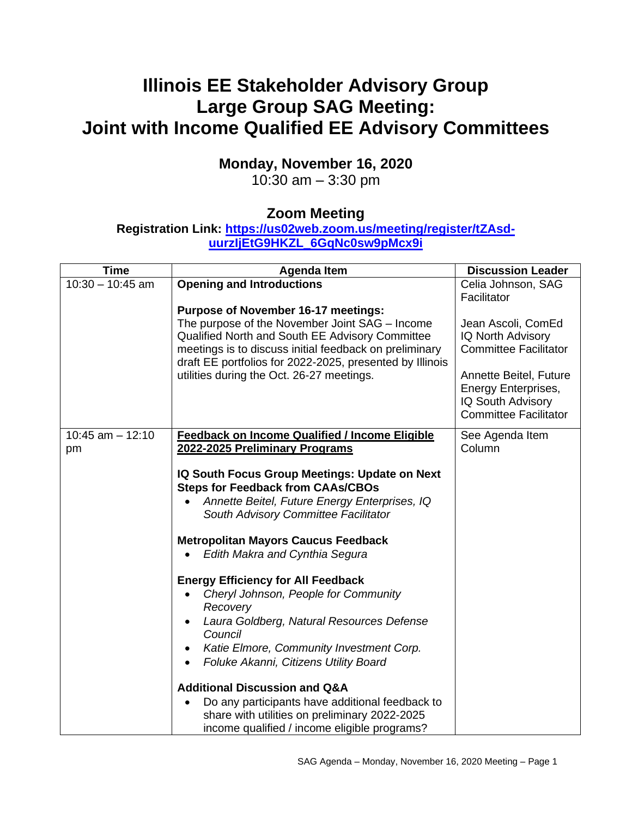# **Illinois EE Stakeholder Advisory Group Large Group SAG Meeting: Joint with Income Qualified EE Advisory Committees**

## **Monday, November 16, 2020**

10:30 am – 3:30 pm

## **Zoom Meeting**

### **Registration Link: [https://us02web.zoom.us/meeting/register/tZAsd](https://us02web.zoom.us/meeting/register/tZAsd-uurzIjEtG9HKZL_6GqNc0sw9pMcx9i)[uurzIjEtG9HKZL\\_6GqNc0sw9pMcx9i](https://us02web.zoom.us/meeting/register/tZAsd-uurzIjEtG9HKZL_6GqNc0sw9pMcx9i)**

| <b>Time</b>                | <b>Agenda Item</b>                                                                                                                                                                                                                                                                                                                                                                                                                                                                                                                                                                                                                                                                                                                                                                                                             | <b>Discussion Leader</b>                                                                                                                                                                                           |
|----------------------------|--------------------------------------------------------------------------------------------------------------------------------------------------------------------------------------------------------------------------------------------------------------------------------------------------------------------------------------------------------------------------------------------------------------------------------------------------------------------------------------------------------------------------------------------------------------------------------------------------------------------------------------------------------------------------------------------------------------------------------------------------------------------------------------------------------------------------------|--------------------------------------------------------------------------------------------------------------------------------------------------------------------------------------------------------------------|
| $10:30 - 10:45$ am         | <b>Opening and Introductions</b><br><b>Purpose of November 16-17 meetings:</b><br>The purpose of the November Joint SAG - Income<br>Qualified North and South EE Advisory Committee<br>meetings is to discuss initial feedback on preliminary<br>draft EE portfolios for 2022-2025, presented by Illinois<br>utilities during the Oct. 26-27 meetings.                                                                                                                                                                                                                                                                                                                                                                                                                                                                         | Celia Johnson, SAG<br>Facilitator<br>Jean Ascoli, ComEd<br>IQ North Advisory<br><b>Committee Facilitator</b><br>Annette Beitel, Future<br>Energy Enterprises,<br>IQ South Advisory<br><b>Committee Facilitator</b> |
| $10:45$ am $- 12:10$<br>pm | Feedback on Income Qualified / Income Eligible<br>2022-2025 Preliminary Programs<br>IQ South Focus Group Meetings: Update on Next<br><b>Steps for Feedback from CAAs/CBOs</b><br>Annette Beitel, Future Energy Enterprises, IQ<br>South Advisory Committee Facilitator<br><b>Metropolitan Mayors Caucus Feedback</b><br>Edith Makra and Cynthia Segura<br><b>Energy Efficiency for All Feedback</b><br>Cheryl Johnson, People for Community<br>Recovery<br>Laura Goldberg, Natural Resources Defense<br>$\bullet$<br>Council<br>Katie Elmore, Community Investment Corp.<br>Foluke Akanni, Citizens Utility Board<br><b>Additional Discussion and Q&amp;A</b><br>Do any participants have additional feedback to<br>$\bullet$<br>share with utilities on preliminary 2022-2025<br>income qualified / income eligible programs? | See Agenda Item<br>Column                                                                                                                                                                                          |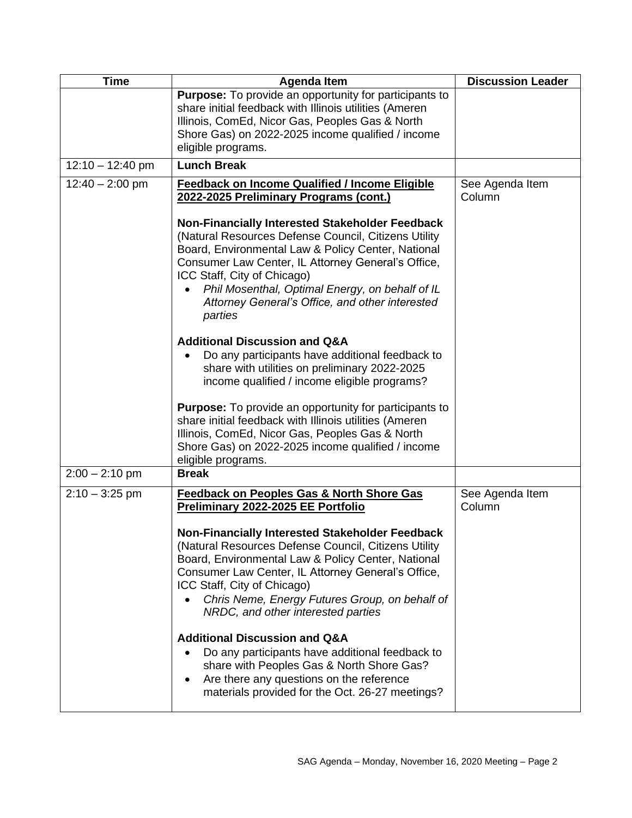| <b>Time</b>        | <b>Agenda Item</b>                                                                                                                                                                                                                                                                                                                                                  | <b>Discussion Leader</b>  |
|--------------------|---------------------------------------------------------------------------------------------------------------------------------------------------------------------------------------------------------------------------------------------------------------------------------------------------------------------------------------------------------------------|---------------------------|
|                    | <b>Purpose:</b> To provide an opportunity for participants to<br>share initial feedback with Illinois utilities (Ameren<br>Illinois, ComEd, Nicor Gas, Peoples Gas & North<br>Shore Gas) on 2022-2025 income qualified / income<br>eligible programs.                                                                                                               |                           |
| $12:10 - 12:40$ pm | <b>Lunch Break</b>                                                                                                                                                                                                                                                                                                                                                  |                           |
| $12:40 - 2:00$ pm  | <b>Feedback on Income Qualified / Income Eligible</b><br>2022-2025 Preliminary Programs (cont.)                                                                                                                                                                                                                                                                     | See Agenda Item<br>Column |
|                    | Non-Financially Interested Stakeholder Feedback<br>(Natural Resources Defense Council, Citizens Utility<br>Board, Environmental Law & Policy Center, National<br>Consumer Law Center, IL Attorney General's Office,<br>ICC Staff, City of Chicago)<br>Phil Mosenthal, Optimal Energy, on behalf of IL<br>Attorney General's Office, and other interested<br>parties |                           |
|                    | <b>Additional Discussion and Q&amp;A</b><br>Do any participants have additional feedback to<br>share with utilities on preliminary 2022-2025<br>income qualified / income eligible programs?                                                                                                                                                                        |                           |
|                    | <b>Purpose:</b> To provide an opportunity for participants to<br>share initial feedback with Illinois utilities (Ameren<br>Illinois, ComEd, Nicor Gas, Peoples Gas & North<br>Shore Gas) on 2022-2025 income qualified / income<br>eligible programs.                                                                                                               |                           |
| $2:00 - 2:10$ pm   | <b>Break</b>                                                                                                                                                                                                                                                                                                                                                        |                           |
| $2:10 - 3:25$ pm   | <b>Feedback on Peoples Gas &amp; North Shore Gas</b><br><b>Preliminary 2022-2025 EE Portfolio</b>                                                                                                                                                                                                                                                                   | See Agenda Item<br>Column |
|                    | Non-Financially Interested Stakeholder Feedback<br>(Natural Resources Defense Council, Citizens Utility<br>Board, Environmental Law & Policy Center, National<br>Consumer Law Center, IL Attorney General's Office,<br>ICC Staff, City of Chicago)<br>Chris Neme, Energy Futures Group, on behalf of<br>NRDC, and other interested parties                          |                           |
|                    | <b>Additional Discussion and Q&amp;A</b><br>Do any participants have additional feedback to<br>share with Peoples Gas & North Shore Gas?<br>Are there any questions on the reference<br>٠<br>materials provided for the Oct. 26-27 meetings?                                                                                                                        |                           |